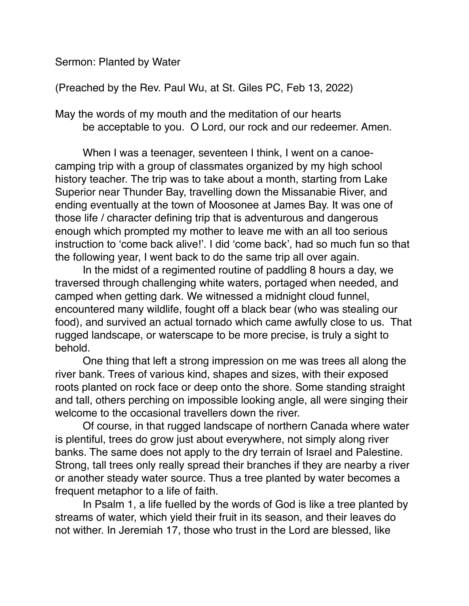Sermon: Planted by Water

(Preached by the Rev. Paul Wu, at St. Giles PC, Feb 13, 2022)

May the words of my mouth and the meditation of our hearts be acceptable to you. O Lord, our rock and our redeemer. Amen.

When I was a teenager, seventeen I think, I went on a canoecamping trip with a group of classmates organized by my high school history teacher. The trip was to take about a month, starting from Lake Superior near Thunder Bay, travelling down the Missanabie River, and ending eventually at the town of Moosonee at James Bay. It was one of those life / character defining trip that is adventurous and dangerous enough which prompted my mother to leave me with an all too serious instruction to 'come back alive!'. I did 'come back', had so much fun so that the following year, I went back to do the same trip all over again.

In the midst of a regimented routine of paddling 8 hours a day, we traversed through challenging white waters, portaged when needed, and camped when getting dark. We witnessed a midnight cloud funnel, encountered many wildlife, fought off a black bear (who was stealing our food), and survived an actual tornado which came awfully close to us. That rugged landscape, or waterscape to be more precise, is truly a sight to behold.

One thing that left a strong impression on me was trees all along the river bank. Trees of various kind, shapes and sizes, with their exposed roots planted on rock face or deep onto the shore. Some standing straight and tall, others perching on impossible looking angle, all were singing their welcome to the occasional travellers down the river.

Of course, in that rugged landscape of northern Canada where water is plentiful, trees do grow just about everywhere, not simply along river banks. The same does not apply to the dry terrain of Israel and Palestine. Strong, tall trees only really spread their branches if they are nearby a river or another steady water source. Thus a tree planted by water becomes a frequent metaphor to a life of faith.

In Psalm 1, a life fuelled by the words of God is like a tree planted by streams of water, which yield their fruit in its season, and their leaves do not wither. In Jeremiah 17, those who trust in the Lord are blessed, like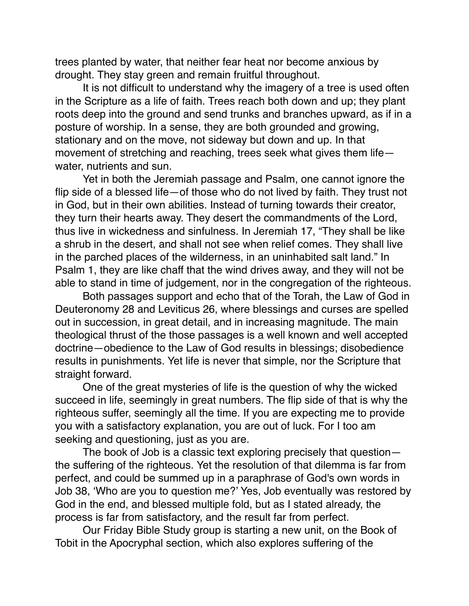trees planted by water, that neither fear heat nor become anxious by drought. They stay green and remain fruitful throughout.

It is not difficult to understand why the imagery of a tree is used often in the Scripture as a life of faith. Trees reach both down and up; they plant roots deep into the ground and send trunks and branches upward, as if in a posture of worship. In a sense, they are both grounded and growing, stationary and on the move, not sideway but down and up. In that movement of stretching and reaching, trees seek what gives them life water, nutrients and sun.

Yet in both the Jeremiah passage and Psalm, one cannot ignore the flip side of a blessed life—of those who do not lived by faith. They trust not in God, but in their own abilities. Instead of turning towards their creator, they turn their hearts away. They desert the commandments of the Lord, thus live in wickedness and sinfulness. In Jeremiah 17, "They shall be like a shrub in the desert, and shall not see when relief comes. They shall live in the parched places of the wilderness, in an uninhabited salt land." In Psalm 1, they are like chaff that the wind drives away, and they will not be able to stand in time of judgement, nor in the congregation of the righteous.

Both passages support and echo that of the Torah, the Law of God in Deuteronomy 28 and Leviticus 26, where blessings and curses are spelled out in succession, in great detail, and in increasing magnitude. The main theological thrust of the those passages is a well known and well accepted doctrine—obedience to the Law of God results in blessings; disobedience results in punishments. Yet life is never that simple, nor the Scripture that straight forward.

One of the great mysteries of life is the question of why the wicked succeed in life, seemingly in great numbers. The flip side of that is why the righteous suffer, seemingly all the time. If you are expecting me to provide you with a satisfactory explanation, you are out of luck. For I too am seeking and questioning, just as you are.

The book of Job is a classic text exploring precisely that question the suffering of the righteous. Yet the resolution of that dilemma is far from perfect, and could be summed up in a paraphrase of God's own words in Job 38, 'Who are you to question me?' Yes, Job eventually was restored by God in the end, and blessed multiple fold, but as I stated already, the process is far from satisfactory, and the result far from perfect.

Our Friday Bible Study group is starting a new unit, on the Book of Tobit in the Apocryphal section, which also explores suffering of the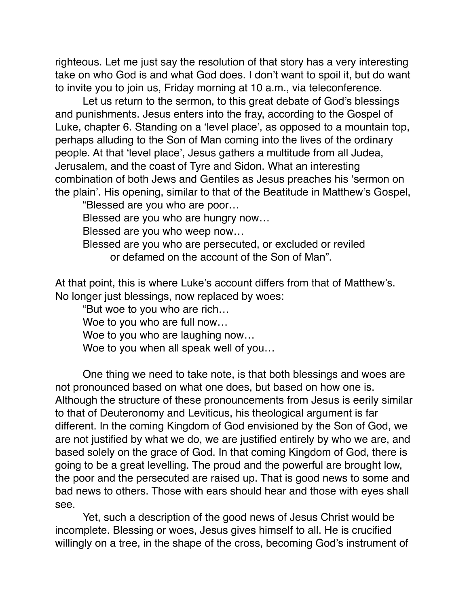righteous. Let me just say the resolution of that story has a very interesting take on who God is and what God does. I don't want to spoil it, but do want to invite you to join us, Friday morning at 10 a.m., via teleconference.

Let us return to the sermon, to this great debate of God's blessings and punishments. Jesus enters into the fray, according to the Gospel of Luke, chapter 6. Standing on a 'level place', as opposed to a mountain top, perhaps alluding to the Son of Man coming into the lives of the ordinary people. At that 'level place', Jesus gathers a multitude from all Judea, Jerusalem, and the coast of Tyre and Sidon. What an interesting combination of both Jews and Gentiles as Jesus preaches his 'sermon on the plain'. His opening, similar to that of the Beatitude in Matthew's Gospel,

"Blessed are you who are poor…

Blessed are you who are hungry now…

Blessed are you who weep now…

Blessed are you who are persecuted, or excluded or reviled or defamed on the account of the Son of Man".

At that point, this is where Luke's account differs from that of Matthew's. No longer just blessings, now replaced by woes:

"But woe to you who are rich…

Woe to you who are full now…

Woe to you who are laughing now…

Woe to you when all speak well of you…

One thing we need to take note, is that both blessings and woes are not pronounced based on what one does, but based on how one is. Although the structure of these pronouncements from Jesus is eerily similar to that of Deuteronomy and Leviticus, his theological argument is far different. In the coming Kingdom of God envisioned by the Son of God, we are not justified by what we do, we are justified entirely by who we are, and based solely on the grace of God. In that coming Kingdom of God, there is going to be a great levelling. The proud and the powerful are brought low, the poor and the persecuted are raised up. That is good news to some and bad news to others. Those with ears should hear and those with eyes shall see.

Yet, such a description of the good news of Jesus Christ would be incomplete. Blessing or woes, Jesus gives himself to all. He is crucified willingly on a tree, in the shape of the cross, becoming God's instrument of